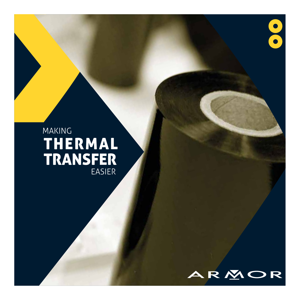## MAKING THERMAL TRANSFER EASIER



OCO.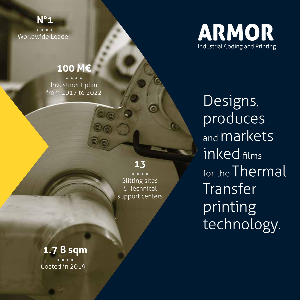**N°1**  Worldwide Leader

### **100 M€**

Investment plan from 2017 to 2022

### **13**

Slitting sites & Technical support centers



Designs, produces and **markets** inked films for the Thermal Transfer printing technology.

**1.7 B sqm** Coated in 2019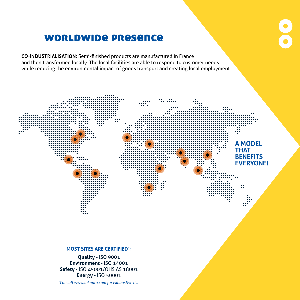## worldwide presence

**CO-INDUSTRIALISATION:** Semi-finished products are manufactured in France and then transformed locally. The local facilities are able to respond to customer needs while reducing the environmental impact of goods transport and creating local employment.

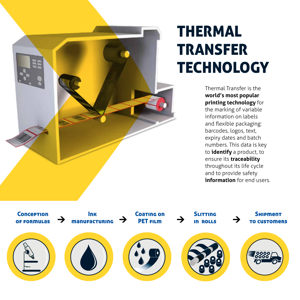

# THERMAL TRANSFER **TECHNOLOGY**

Thermal Transfer is the **world's most popular printing technology** for the marking of variable information on labels and flexible packaging: barcodes, logos, text, expiry dates and batch numbers. This data is key to **identify** a product, to ensure its **traceability** throughout its life cycle and to provide safety **information** for end users

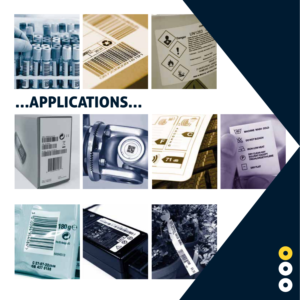

# …APPLICATIONS…









 $\bullet$ 

 $\bullet$ 

0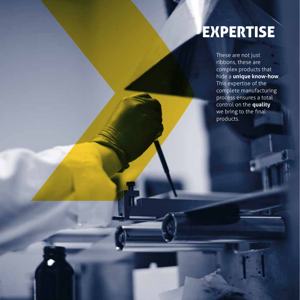# **EXPERTISE**

These are not just ribbons, these are complex products that hide a **unique know-how**. This expertise of the complete manufacturing process ensures a total control on the **quality** we bring to the final products.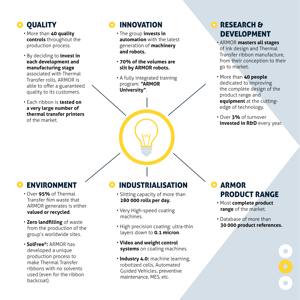### **O** OUALITY

- More than **40 quality controls** throughout the production process.
- By deciding to **invest in each development and manufacturing stage** associated with Thermal Transfer rolls, ARMOR is able to offer a guaranteed quality to its customers.
- Each ribbon is **tested on a very large number of thermal transfer printers**  of the market.

### **O** INNOVATION

- The group **invests in automation** with the latest generation of **machinery and robots.**
- **70% of the volumes are slit by ARMOR robots.**
- A fully integrated training program: **"ARMOR University"**.

### RESEARCH & DEVELOPMENT

- ARMOR **masters all stages** of ink design and Thermal Transfer ribbon manufacture, from their conception to their go to market.
- More than **40 people** dedicated to improving the complete design of the product range and **equipment** at the cuttingedge of technology.
- Over **3%** of turnover **invested in R&D** every year.

### **O ENVIRONMENT**

- Over **95%** of Thermal Transfer film waste that ARMOR generates is either **valued or recycled**.
- **Zero landfilling** of waste from the production of the group's worldwide sites.
- **SolFree®:** ARMOR has developed a unique production process to make Thermal Transfer ribbons with no solvents used (even for the ribbon backcoat).

#### INDUSTRIALISATION $\bullet$

- Slitting capacity of more than **280 000 rolls per day.**
- Very High-speed coating machines.
- High precision coating: ultra-thin layers down to **0.1 micron**.
- **Video and weight control systems** on coating machines.
- **Industry 4.0:** machine learning, robotized cells, Automated Guided Vehicles, preventive maintenance, MES, etc.

### ARMOR PRODUCT RANGE

- Most **complete product range** of the market.
- Database of more than **30 000 product references.**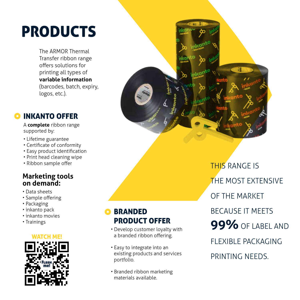# PRODUCTS

The ARMOR Thermal Transfer ribbon range offers solutions for printing all types of **variable information** (barcodes, batch, expiry, logos, etc.).

### **O INKANTO OFFER**

A **complete** ribbon range supported by:

- Lifetime guarantee
- Certificate of conformity
- Easy product identification
- Print head cleaning wipe
- Ribbon sample offer

### **Marketing tools on demand:**

- Data sheets
- Sample offering
- Packaging
- inkanto pack
- inkanto movies
- Trainings





### **O BRANDED** PRODUCT OFFER

- Develop customer loyalty with a branded ribbon offering.
- Easy to integrate into an existing products and services portfolio.
- Branded ribbon marketing materials available.

THIS RANGE IS THE MOST EXTENSIVE OF THE MARKET BECAUSE IT MEETS **99%** OF LABEL AND FLEXIBLE PACKAGING PRINTING NEEDS.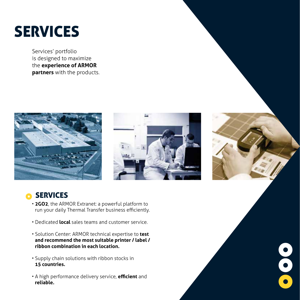# **SERVICES**

Services' portfolio is designed to maximize the **experience of ARMOR partners** with the products.





 $\bullet$ 



- **2GO2**, the ARMOR Extranet: a powerful platform to run your daily Thermal Transfer business efficiently.
- Dedicated **local** sales teams and customer service.
- Solution Center: ARMOR technical expertise to **test and recommend the most suitable printer / label / ribbon combination in each location.**
- Supply chain solutions with ribbon stocks in **15 countries.**
- A high performance delivery service, **efficient** and **reliable.**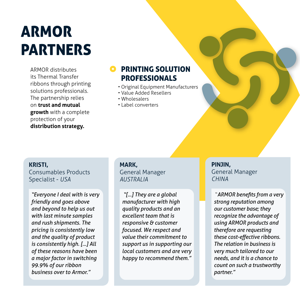# ARMOR PARTNERS

ARMOR distributes its Thermal Transfer ribbons through printing solutions professionals. The partnership relies on **trust and mutual growth** with a complete protection of your **distribution strategy.**

### PRINTING SOLUTION PROFESSIONALS

- Original Equipment Manufacturers
- Value Added Resellers
- Wholesalers
- Label converters

#### **KRISTI,**

Consumables Products Specialist - *USA*

*"Everyone I deal with is very friendly and goes above and beyond to help us out with last minute samples and rush shipments. The pricing is consistently low and the quality of product is consistently high. [...] All of these reasons have been a major factor in switching 99.9% of our ribbon business over to Armor."*

**MARK,** General Manager *AUSTRALIA*

*"[...] They are a global manufacturer with high quality products and an excellent team that is responsive & customer focused. We respect and value their commitment to support us in supporting our local customers and are very happy to recommend them."*

**PINJIN,** General Manager *CHINA*

 "*ARMOR benefits from a very strong reputation among our customer base; they recognize the advantage of using ARMOR products and therefore are requesting these cost-effective ribbons. The relation in business is very much tailored to our needs, and it is a chance to count on such a trustworthy partner."*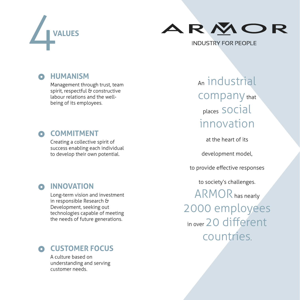



### **HUMANISM**

Management through trust, team spirit, respectful & constructive labour relations and the wellbeing of its employees.

#### **COMMITMENT**  $\bullet$

Creating a collective spirit of success enabling each individual to develop their own potential.

# An industrial company that places social innovation

at the heart of its

development model,

to provide effective responses

to society's challenges.

ARMOR has nearly 2000 employees in over 20 different countries.

### **INNOVATION**

Long-term vision and investment in responsible Research & Development, seeking out technologies capable of meeting the needs of future generations.

### **CUSTOMER FOCUS**

A culture based on understanding and serving customer needs.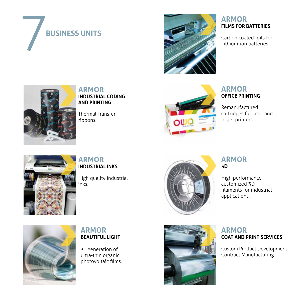



### **ARMOR FILMS FOR BATTERIES**

Carbon coated foils for Lithium-ion batteries.



**ARMOR INDUSTRIAL CODING AND PRINTING**

Thermal Transfer ribbons.



### **ARMOR OFFICE PRINTING**

Remanufactured cartridges for laser and inkjet printers.



**ARMOR INDUSTRIAL INKS**

High quality industrial inks.



### **ARMOR 3D**

High performance customized 3D filaments for industrial applications.



### **ARMOR BEAUTIFUL LIGHT**

3<sup>rd</sup> generation of ultra-thin organic photovoltaic films.



### **ARMOR COAT AND PRINT SERVICES**

Custom Product Development Contract Manufacturing.